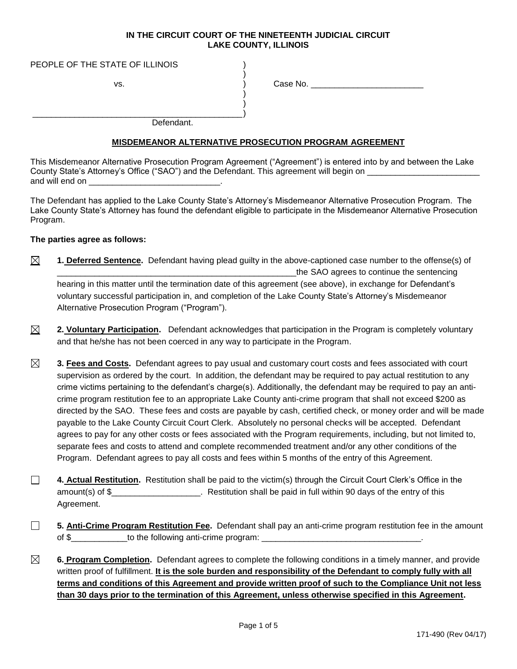## **IN THE CIRCUIT COURT OF THE NINETEENTH JUDICIAL CIRCUIT LAKE COUNTY, ILLINOIS**

)

) )

PEOPLE OF THE STATE OF ILLINOIS

\_\_\_\_\_\_\_\_\_\_\_\_\_\_\_\_\_\_\_\_\_\_\_\_\_\_\_\_\_\_\_\_\_\_\_\_\_\_\_\_\_\_\_\_\_)

vs.  $\overrightarrow{)}$  Case No.

Defendant.

## **MISDEMEANOR ALTERNATIVE PROSECUTION PROGRAM AGREEMENT**

This Misdemeanor Alternative Prosecution Program Agreement ("Agreement") is entered into by and between the Lake County State's Attorney's Office ("SAO") and the Defendant. This agreement will begin on \_\_\_\_\_\_\_\_\_ and will end on

The Defendant has applied to the Lake County State's Attorney's Misdemeanor Alternative Prosecution Program. The Lake County State's Attorney has found the defendant eligible to participate in the Misdemeanor Alternative Prosecution Program.

## **The parties agree as follows:**

- $\boxtimes$ **1. Deferred Sentence.** Defendant having plead guilty in the above-captioned case number to the offense(s) of the SAO agrees to continue the sentencing hearing in this matter until the termination date of this agreement (see above), in exchange for Defendant's voluntary successful participation in, and completion of the Lake County State's Attorney's Misdemeanor Alternative Prosecution Program ("Program").
- $\boxtimes$ **2. Voluntary Participation.** Defendant acknowledges that participation in the Program is completely voluntary and that he/she has not been coerced in any way to participate in the Program.
- ⊠ **3. Fees and Costs.** Defendant agrees to pay usual and customary court costs and fees associated with court supervision as ordered by the court. In addition, the defendant may be required to pay actual restitution to any crime victims pertaining to the defendant's charge(s). Additionally, the defendant may be required to pay an anticrime program restitution fee to an appropriate Lake County anti-crime program that shall not exceed \$200 as directed by the SAO. These fees and costs are payable by cash, certified check, or money order and will be made payable to the Lake County Circuit Court Clerk. Absolutely no personal checks will be accepted. Defendant agrees to pay for any other costs or fees associated with the Program requirements, including, but not limited to, separate fees and costs to attend and complete recommended treatment and/or any other conditions of the Program. Defendant agrees to pay all costs and fees within 5 months of the entry of this Agreement.
- $\Box$ **4. Actual Restitution.** Restitution shall be paid to the victim(s) through the Circuit Court Clerk's Office in the amount(s) of \$\_\_\_\_\_\_\_\_\_\_\_\_\_\_\_\_\_\_\_. Restitution shall be paid in full within 90 days of the entry of this Agreement.
- $\Box$ **5. Anti-Crime Program Restitution Fee.** Defendant shall pay an anti-crime program restitution fee in the amount of \$\_\_\_\_\_\_\_\_\_\_\_\_to the following anti-crime program: \_\_\_\_\_\_\_\_\_\_\_\_\_\_\_\_\_\_\_\_\_\_\_\_\_\_\_\_\_\_\_\_\_\_.
- ⊠ **6. Program Completion.** Defendant agrees to complete the following conditions in a timely manner, and provide written proof of fulfillment. **It is the sole burden and responsibility of the Defendant to comply fully with all terms and conditions of this Agreement and provide written proof of such to the Compliance Unit not less than 30 days prior to the termination of this Agreement, unless otherwise specified in this Agreement.**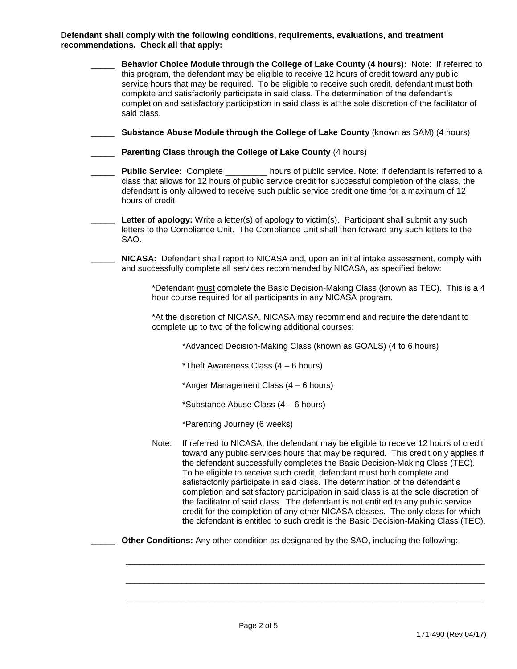**Defendant shall comply with the following conditions, requirements, evaluations, and treatment recommendations. Check all that apply:**

| said class.      | Behavior Choice Module through the College of Lake County (4 hours): Note: If referred to<br>this program, the defendant may be eligible to receive 12 hours of credit toward any public<br>service hours that may be required. To be eligible to receive such credit, defendant must both<br>complete and satisfactorily participate in said class. The determination of the defendant's<br>completion and satisfactory participation in said class is at the sole discretion of the facilitator of                                                                                                                                                                                                                                                                        |
|------------------|-----------------------------------------------------------------------------------------------------------------------------------------------------------------------------------------------------------------------------------------------------------------------------------------------------------------------------------------------------------------------------------------------------------------------------------------------------------------------------------------------------------------------------------------------------------------------------------------------------------------------------------------------------------------------------------------------------------------------------------------------------------------------------|
|                  | Substance Abuse Module through the College of Lake County (known as SAM) (4 hours)                                                                                                                                                                                                                                                                                                                                                                                                                                                                                                                                                                                                                                                                                          |
|                  | Parenting Class through the College of Lake County (4 hours)                                                                                                                                                                                                                                                                                                                                                                                                                                                                                                                                                                                                                                                                                                                |
| hours of credit. | <b>Public Service:</b> Complete _________ hours of public service. Note: If defendant is referred to a<br>class that allows for 12 hours of public service credit for successful completion of the class, the<br>defendant is only allowed to receive such public service credit one time for a maximum of 12                                                                                                                                                                                                                                                                                                                                                                                                                                                               |
| SAO.             | Letter of apology: Write a letter(s) of apology to victim(s). Participant shall submit any such<br>letters to the Compliance Unit. The Compliance Unit shall then forward any such letters to the                                                                                                                                                                                                                                                                                                                                                                                                                                                                                                                                                                           |
|                  | NICASA: Defendant shall report to NICASA and, upon an initial intake assessment, comply with<br>and successfully complete all services recommended by NICASA, as specified below:                                                                                                                                                                                                                                                                                                                                                                                                                                                                                                                                                                                           |
|                  | *Defendant must complete the Basic Decision-Making Class (known as TEC). This is a 4<br>hour course required for all participants in any NICASA program.                                                                                                                                                                                                                                                                                                                                                                                                                                                                                                                                                                                                                    |
|                  | *At the discretion of NICASA, NICASA may recommend and require the defendant to<br>complete up to two of the following additional courses:                                                                                                                                                                                                                                                                                                                                                                                                                                                                                                                                                                                                                                  |
|                  | *Advanced Decision-Making Class (known as GOALS) (4 to 6 hours)                                                                                                                                                                                                                                                                                                                                                                                                                                                                                                                                                                                                                                                                                                             |
|                  | *Theft Awareness Class (4 - 6 hours)                                                                                                                                                                                                                                                                                                                                                                                                                                                                                                                                                                                                                                                                                                                                        |
|                  | *Anger Management Class (4 – 6 hours)                                                                                                                                                                                                                                                                                                                                                                                                                                                                                                                                                                                                                                                                                                                                       |
|                  | *Substance Abuse Class (4 – 6 hours)                                                                                                                                                                                                                                                                                                                                                                                                                                                                                                                                                                                                                                                                                                                                        |
|                  | *Parenting Journey (6 weeks)                                                                                                                                                                                                                                                                                                                                                                                                                                                                                                                                                                                                                                                                                                                                                |
| Note:            | If referred to NICASA, the defendant may be eligible to receive 12 hours of credit<br>toward any public services hours that may be required. This credit only applies if<br>the defendant successfully completes the Basic Decision-Making Class (TEC).<br>To be eligible to receive such credit, defendant must both complete and<br>satisfactorily participate in said class. The determination of the defendant's<br>completion and satisfactory participation in said class is at the sole discretion of<br>the facilitator of said class. The defendant is not entitled to any public service<br>credit for the completion of any other NICASA classes. The only class for which<br>the defendant is entitled to such credit is the Basic Decision-Making Class (TEC). |
|                  |                                                                                                                                                                                                                                                                                                                                                                                                                                                                                                                                                                                                                                                                                                                                                                             |

\_\_\_\_\_\_\_\_\_\_\_\_\_\_\_\_\_\_\_\_\_\_\_\_\_\_\_\_\_\_\_\_\_\_\_\_\_\_\_\_\_\_\_\_\_\_\_\_\_\_\_\_\_\_\_\_\_\_\_\_\_\_\_\_\_\_\_\_\_\_\_\_\_\_\_\_\_

\_\_\_\_\_\_\_\_\_\_\_\_\_\_\_\_\_\_\_\_\_\_\_\_\_\_\_\_\_\_\_\_\_\_\_\_\_\_\_\_\_\_\_\_\_\_\_\_\_\_\_\_\_\_\_\_\_\_\_\_\_\_\_\_\_\_\_\_\_\_\_\_\_\_\_\_\_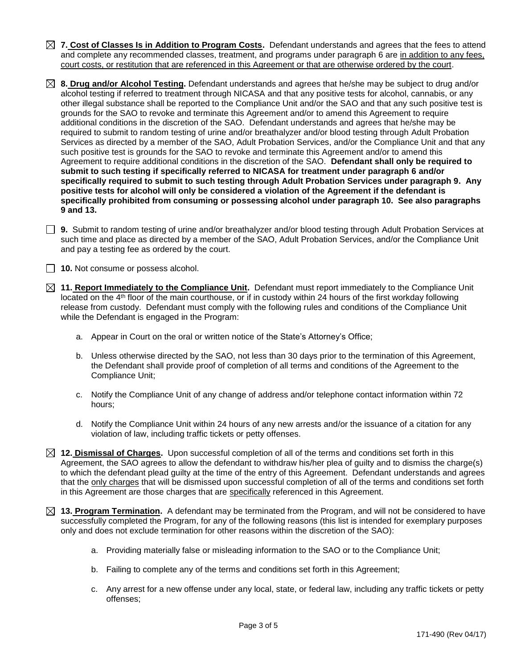- **7. Cost of Classes Is in Addition to Program Costs.** Defendant understands and agrees that the fees to attend and complete any recommended classes, treatment, and programs under paragraph 6 are in addition to any fees, court costs, or restitution that are referenced in this Agreement or that are otherwise ordered by the court.
- **8. Drug and/or Alcohol Testing.** Defendant understands and agrees that he/she may be subject to drug and/or alcohol testing if referred to treatment through NICASA and that any positive tests for alcohol, cannabis, or any other illegal substance shall be reported to the Compliance Unit and/or the SAO and that any such positive test is grounds for the SAO to revoke and terminate this Agreement and/or to amend this Agreement to require additional conditions in the discretion of the SAO. Defendant understands and agrees that he/she may be required to submit to random testing of urine and/or breathalyzer and/or blood testing through Adult Probation Services as directed by a member of the SAO, Adult Probation Services, and/or the Compliance Unit and that any such positive test is grounds for the SAO to revoke and terminate this Agreement and/or to amend this Agreement to require additional conditions in the discretion of the SAO. **Defendant shall only be required to submit to such testing if specifically referred to NICASA for treatment under paragraph 6 and/or specifically required to submit to such testing through Adult Probation Services under paragraph 9. Any positive tests for alcohol will only be considered a violation of the Agreement if the defendant is specifically prohibited from consuming or possessing alcohol under paragraph 10. See also paragraphs 9 and 13.**
- **9.** Submit to random testing of urine and/or breathalyzer and/or blood testing through Adult Probation Services at such time and place as directed by a member of the SAO, Adult Probation Services, and/or the Compliance Unit and pay a testing fee as ordered by the court.

**10.** Not consume or possess alcohol.

- **11. Report Immediately to the Compliance Unit.** Defendant must report immediately to the Compliance Unit located on the 4th floor of the main courthouse, or if in custody within 24 hours of the first workday following release from custody. Defendant must comply with the following rules and conditions of the Compliance Unit while the Defendant is engaged in the Program:
	- a. Appear in Court on the oral or written notice of the State's Attorney's Office;
	- b. Unless otherwise directed by the SAO, not less than 30 days prior to the termination of this Agreement, the Defendant shall provide proof of completion of all terms and conditions of the Agreement to the Compliance Unit;
	- c. Notify the Compliance Unit of any change of address and/or telephone contact information within 72 hours;
	- d. Notify the Compliance Unit within 24 hours of any new arrests and/or the issuance of a citation for any violation of law, including traffic tickets or petty offenses.
- **12. Dismissal of Charges.** Upon successful completion of all of the terms and conditions set forth in this Agreement, the SAO agrees to allow the defendant to withdraw his/her plea of guilty and to dismiss the charge(s) to which the defendant plead guilty at the time of the entry of this Agreement. Defendant understands and agrees that the only charges that will be dismissed upon successful completion of all of the terms and conditions set forth in this Agreement are those charges that are specifically referenced in this Agreement.
- **13. Program Termination.** A defendant may be terminated from the Program, and will not be considered to have successfully completed the Program, for any of the following reasons (this list is intended for exemplary purposes only and does not exclude termination for other reasons within the discretion of the SAO):
	- a. Providing materially false or misleading information to the SAO or to the Compliance Unit;
	- b. Failing to complete any of the terms and conditions set forth in this Agreement;
	- c. Any arrest for a new offense under any local, state, or federal law, including any traffic tickets or petty offenses;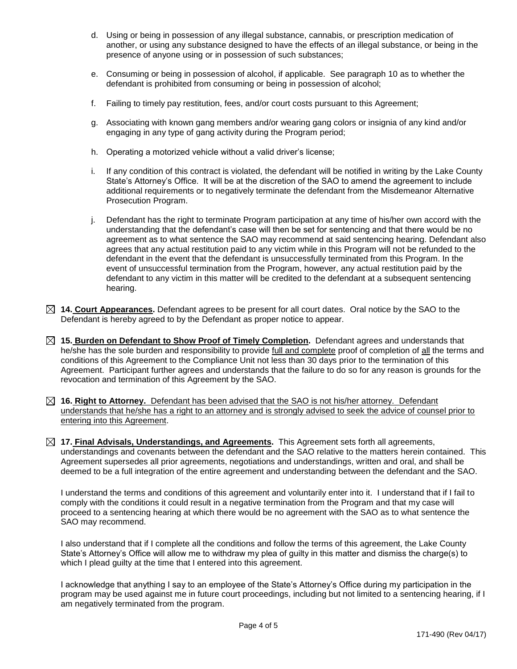- d. Using or being in possession of any illegal substance, cannabis, or prescription medication of another, or using any substance designed to have the effects of an illegal substance, or being in the presence of anyone using or in possession of such substances;
- e. Consuming or being in possession of alcohol, if applicable. See paragraph 10 as to whether the defendant is prohibited from consuming or being in possession of alcohol;
- f. Failing to timely pay restitution, fees, and/or court costs pursuant to this Agreement;
- g. Associating with known gang members and/or wearing gang colors or insignia of any kind and/or engaging in any type of gang activity during the Program period;
- h. Operating a motorized vehicle without a valid driver's license;
- i. If any condition of this contract is violated, the defendant will be notified in writing by the Lake County State's Attorney's Office. It will be at the discretion of the SAO to amend the agreement to include additional requirements or to negatively terminate the defendant from the Misdemeanor Alternative Prosecution Program.
- j. Defendant has the right to terminate Program participation at any time of his/her own accord with the understanding that the defendant's case will then be set for sentencing and that there would be no agreement as to what sentence the SAO may recommend at said sentencing hearing. Defendant also agrees that any actual restitution paid to any victim while in this Program will not be refunded to the defendant in the event that the defendant is unsuccessfully terminated from this Program. In the event of unsuccessful termination from the Program, however, any actual restitution paid by the defendant to any victim in this matter will be credited to the defendant at a subsequent sentencing hearing.
- **14. Court Appearances.** Defendant agrees to be present for all court dates. Oral notice by the SAO to the Defendant is hereby agreed to by the Defendant as proper notice to appear.
- **15. Burden on Defendant to Show Proof of Timely Completion.** Defendant agrees and understands that he/she has the sole burden and responsibility to provide full and complete proof of completion of all the terms and conditions of this Agreement to the Compliance Unit not less than 30 days prior to the termination of this Agreement. Participant further agrees and understands that the failure to do so for any reason is grounds for the revocation and termination of this Agreement by the SAO.
- **16. Right to Attorney.** Defendant has been advised that the SAO is not his/her attorney. Defendant understands that he/she has a right to an attorney and is strongly advised to seek the advice of counsel prior to entering into this Agreement.
- **17. Final Advisals, Understandings, and Agreements.** This Agreement sets forth all agreements, understandings and covenants between the defendant and the SAO relative to the matters herein contained. This Agreement supersedes all prior agreements, negotiations and understandings, written and oral, and shall be deemed to be a full integration of the entire agreement and understanding between the defendant and the SAO.

I understand the terms and conditions of this agreement and voluntarily enter into it. I understand that if I fail to comply with the conditions it could result in a negative termination from the Program and that my case will proceed to a sentencing hearing at which there would be no agreement with the SAO as to what sentence the SAO may recommend.

I also understand that if I complete all the conditions and follow the terms of this agreement, the Lake County State's Attorney's Office will allow me to withdraw my plea of guilty in this matter and dismiss the charge(s) to which I plead quilty at the time that I entered into this agreement.

I acknowledge that anything I say to an employee of the State's Attorney's Office during my participation in the program may be used against me in future court proceedings, including but not limited to a sentencing hearing, if I am negatively terminated from the program.